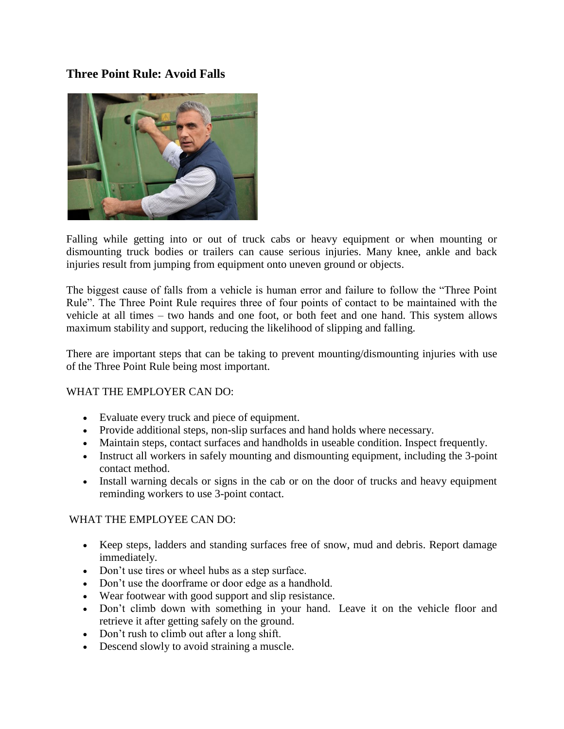## **Three Point Rule: Avoid Falls**



Falling while getting into or out of truck cabs or heavy equipment or when mounting or dismounting truck bodies or trailers can cause serious injuries. Many knee, ankle and back injuries result from jumping from equipment onto uneven ground or objects.

The biggest cause of falls from a vehicle is human error and failure to follow the "Three Point Rule". The Three Point Rule requires three of four points of contact to be maintained with the vehicle at all times – two hands and one foot, or both feet and one hand. This system allows maximum stability and support, reducing the likelihood of slipping and falling.

There are important steps that can be taking to prevent mounting/dismounting injuries with use of the Three Point Rule being most important.

## WHAT THE EMPLOYER CAN DO:

- Evaluate every truck and piece of equipment.
- Provide additional steps, non-slip surfaces and hand holds where necessary.
- Maintain steps, contact surfaces and handholds in useable condition. Inspect frequently.
- Instruct all workers in safely mounting and dismounting equipment, including the 3-point contact method.
- Install warning decals or signs in the cab or on the door of trucks and heavy equipment reminding workers to use 3-point contact.

## WHAT THE EMPLOYEE CAN DO:

- Keep steps, ladders and standing surfaces free of snow, mud and debris. Report damage immediately.
- Don't use tires or wheel hubs as a step surface.
- Don't use the doorframe or door edge as a handhold.
- Wear footwear with good support and slip resistance.
- Don't climb down with something in your hand. Leave it on the vehicle floor and retrieve it after getting safely on the ground.
- Don't rush to climb out after a long shift.
- Descend slowly to avoid straining a muscle.